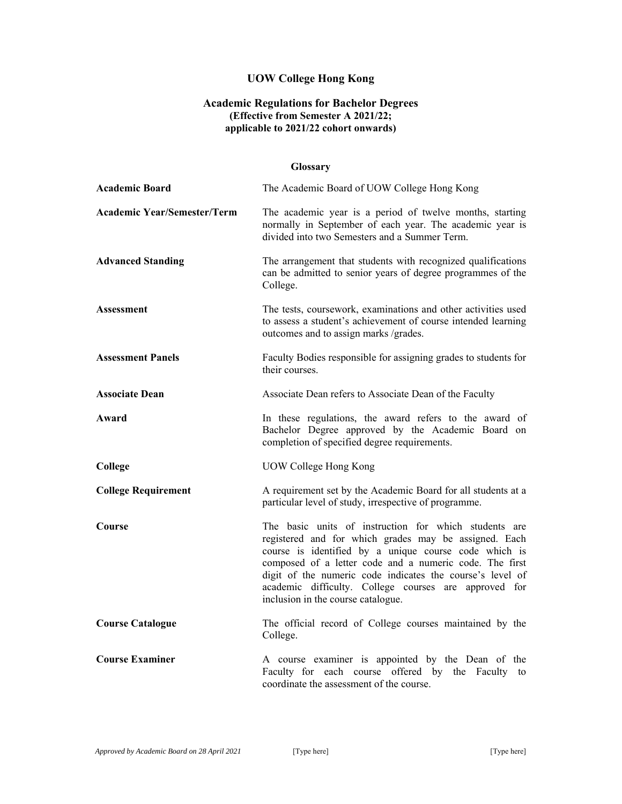# **UOW College Hong Kong**

### **Academic Regulations for Bachelor Degrees (Effective from Semester A 2021/22; applicable to 2021/22 cohort onwards)**

### **Glossary**

| <b>Academic Board</b>              | The Academic Board of UOW College Hong Kong                                                                                                                                                                                                                                                                                                                                                    |
|------------------------------------|------------------------------------------------------------------------------------------------------------------------------------------------------------------------------------------------------------------------------------------------------------------------------------------------------------------------------------------------------------------------------------------------|
| <b>Academic Year/Semester/Term</b> | The academic year is a period of twelve months, starting<br>normally in September of each year. The academic year is<br>divided into two Semesters and a Summer Term.                                                                                                                                                                                                                          |
| <b>Advanced Standing</b>           | The arrangement that students with recognized qualifications<br>can be admitted to senior years of degree programmes of the<br>College.                                                                                                                                                                                                                                                        |
| <b>Assessment</b>                  | The tests, coursework, examinations and other activities used<br>to assess a student's achievement of course intended learning<br>outcomes and to assign marks /grades.                                                                                                                                                                                                                        |
| <b>Assessment Panels</b>           | Faculty Bodies responsible for assigning grades to students for<br>their courses.                                                                                                                                                                                                                                                                                                              |
| <b>Associate Dean</b>              | Associate Dean refers to Associate Dean of the Faculty                                                                                                                                                                                                                                                                                                                                         |
| Award                              | In these regulations, the award refers to the award of<br>Bachelor Degree approved by the Academic Board on<br>completion of specified degree requirements.                                                                                                                                                                                                                                    |
| College                            | <b>UOW College Hong Kong</b>                                                                                                                                                                                                                                                                                                                                                                   |
| <b>College Requirement</b>         | A requirement set by the Academic Board for all students at a<br>particular level of study, irrespective of programme.                                                                                                                                                                                                                                                                         |
| Course                             | The basic units of instruction for which students are<br>registered and for which grades may be assigned. Each<br>course is identified by a unique course code which is<br>composed of a letter code and a numeric code. The first<br>digit of the numeric code indicates the course's level of<br>academic difficulty. College courses are approved for<br>inclusion in the course catalogue. |
| <b>Course Catalogue</b>            | The official record of College courses maintained by the<br>College.                                                                                                                                                                                                                                                                                                                           |
| <b>Course Examiner</b>             | A course examiner is appointed by the Dean of the<br>Faculty for each course offered by the Faculty to<br>coordinate the assessment of the course.                                                                                                                                                                                                                                             |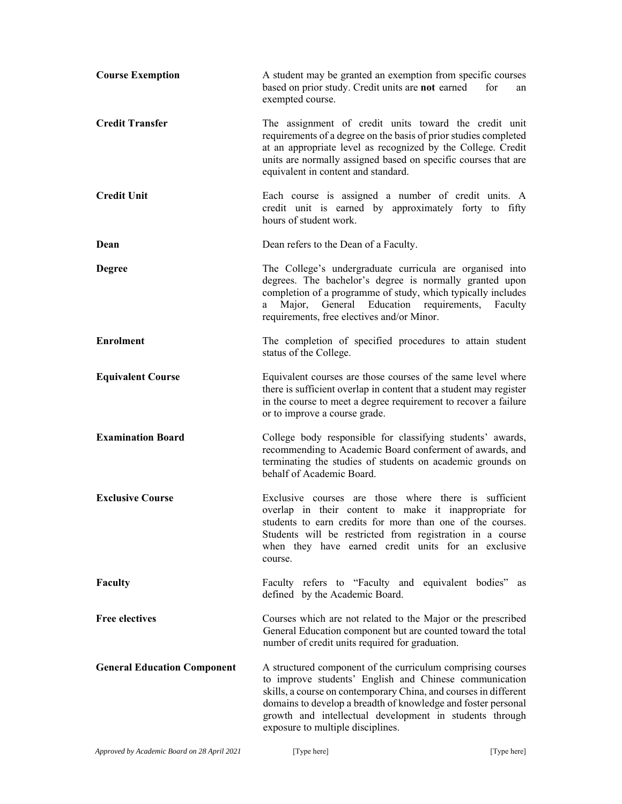| <b>Course Exemption</b>            | A student may be granted an exemption from specific courses<br>based on prior study. Credit units are not earned<br>for<br>an<br>exempted course.                                                                                                                                                                                                          |
|------------------------------------|------------------------------------------------------------------------------------------------------------------------------------------------------------------------------------------------------------------------------------------------------------------------------------------------------------------------------------------------------------|
| <b>Credit Transfer</b>             | The assignment of credit units toward the credit unit<br>requirements of a degree on the basis of prior studies completed<br>at an appropriate level as recognized by the College. Credit<br>units are normally assigned based on specific courses that are<br>equivalent in content and standard.                                                         |
| <b>Credit Unit</b>                 | Each course is assigned a number of credit units. A<br>credit unit is earned by approximately forty to fifty<br>hours of student work.                                                                                                                                                                                                                     |
| Dean                               | Dean refers to the Dean of a Faculty.                                                                                                                                                                                                                                                                                                                      |
| <b>Degree</b>                      | The College's undergraduate curricula are organised into<br>degrees. The bachelor's degree is normally granted upon<br>completion of a programme of study, which typically includes<br>Major, General Education requirements, Faculty<br>a —<br>requirements, free electives and/or Minor.                                                                 |
| <b>Enrolment</b>                   | The completion of specified procedures to attain student<br>status of the College.                                                                                                                                                                                                                                                                         |
| <b>Equivalent Course</b>           | Equivalent courses are those courses of the same level where<br>there is sufficient overlap in content that a student may register<br>in the course to meet a degree requirement to recover a failure<br>or to improve a course grade.                                                                                                                     |
| <b>Examination Board</b>           | College body responsible for classifying students' awards,<br>recommending to Academic Board conferment of awards, and<br>terminating the studies of students on academic grounds on<br>behalf of Academic Board.                                                                                                                                          |
| <b>Exclusive Course</b>            | Exclusive courses are those where there is sufficient<br>overlap in their content to make it inappropriate for<br>students to earn credits for more than one of the courses.<br>Students will be restricted from registration in a course<br>when they have earned credit units for an exclusive<br>course.                                                |
| Faculty                            | Faculty refers to "Faculty and equivalent bodies" as<br>defined by the Academic Board.                                                                                                                                                                                                                                                                     |
| <b>Free electives</b>              | Courses which are not related to the Major or the prescribed<br>General Education component but are counted toward the total<br>number of credit units required for graduation.                                                                                                                                                                            |
| <b>General Education Component</b> | A structured component of the curriculum comprising courses<br>to improve students' English and Chinese communication<br>skills, a course on contemporary China, and courses in different<br>domains to develop a breadth of knowledge and foster personal<br>growth and intellectual development in students through<br>exposure to multiple disciplines. |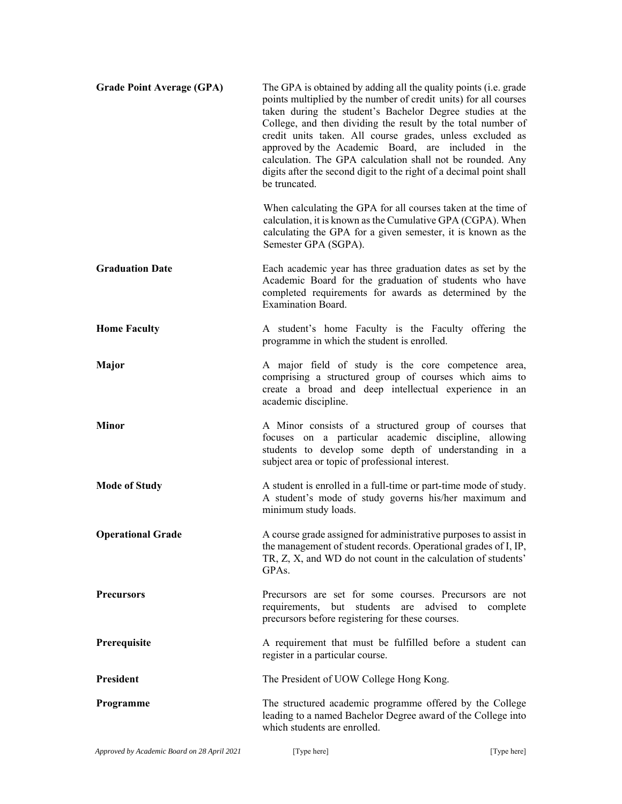| <b>Grade Point Average (GPA)</b> | The GPA is obtained by adding all the quality points (i.e. grade<br>points multiplied by the number of credit units) for all courses<br>taken during the student's Bachelor Degree studies at the<br>College, and then dividing the result by the total number of<br>credit units taken. All course grades, unless excluded as<br>approved by the Academic Board, are included in the<br>calculation. The GPA calculation shall not be rounded. Any<br>digits after the second digit to the right of a decimal point shall<br>be truncated. |
|----------------------------------|---------------------------------------------------------------------------------------------------------------------------------------------------------------------------------------------------------------------------------------------------------------------------------------------------------------------------------------------------------------------------------------------------------------------------------------------------------------------------------------------------------------------------------------------|
|                                  | When calculating the GPA for all courses taken at the time of<br>calculation, it is known as the Cumulative GPA (CGPA). When<br>calculating the GPA for a given semester, it is known as the<br>Semester GPA (SGPA).                                                                                                                                                                                                                                                                                                                        |
| <b>Graduation Date</b>           | Each academic year has three graduation dates as set by the<br>Academic Board for the graduation of students who have<br>completed requirements for awards as determined by the<br><b>Examination Board.</b>                                                                                                                                                                                                                                                                                                                                |
| <b>Home Faculty</b>              | A student's home Faculty is the Faculty offering the<br>programme in which the student is enrolled.                                                                                                                                                                                                                                                                                                                                                                                                                                         |
| Major                            | A major field of study is the core competence area,<br>comprising a structured group of courses which aims to<br>create a broad and deep intellectual experience in an<br>academic discipline.                                                                                                                                                                                                                                                                                                                                              |
| <b>Minor</b>                     | A Minor consists of a structured group of courses that<br>focuses on a particular academic discipline, allowing<br>students to develop some depth of understanding in a<br>subject area or topic of professional interest.                                                                                                                                                                                                                                                                                                                  |
| <b>Mode of Study</b>             | A student is enrolled in a full-time or part-time mode of study.<br>A student's mode of study governs his/her maximum and<br>minimum study loads.                                                                                                                                                                                                                                                                                                                                                                                           |
| <b>Operational Grade</b>         | A course grade assigned for administrative purposes to assist in<br>the management of student records. Operational grades of I, IP,<br>TR, Z, X, and WD do not count in the calculation of students'<br>GPA <sub>s</sub> .                                                                                                                                                                                                                                                                                                                  |
| <b>Precursors</b>                | Precursors are set for some courses. Precursors are not<br>requirements, but students are advised to<br>complete<br>precursors before registering for these courses.                                                                                                                                                                                                                                                                                                                                                                        |
| Prerequisite                     | A requirement that must be fulfilled before a student can<br>register in a particular course.                                                                                                                                                                                                                                                                                                                                                                                                                                               |
| President                        | The President of UOW College Hong Kong.                                                                                                                                                                                                                                                                                                                                                                                                                                                                                                     |
| Programme                        | The structured academic programme offered by the College<br>leading to a named Bachelor Degree award of the College into<br>which students are enrolled.                                                                                                                                                                                                                                                                                                                                                                                    |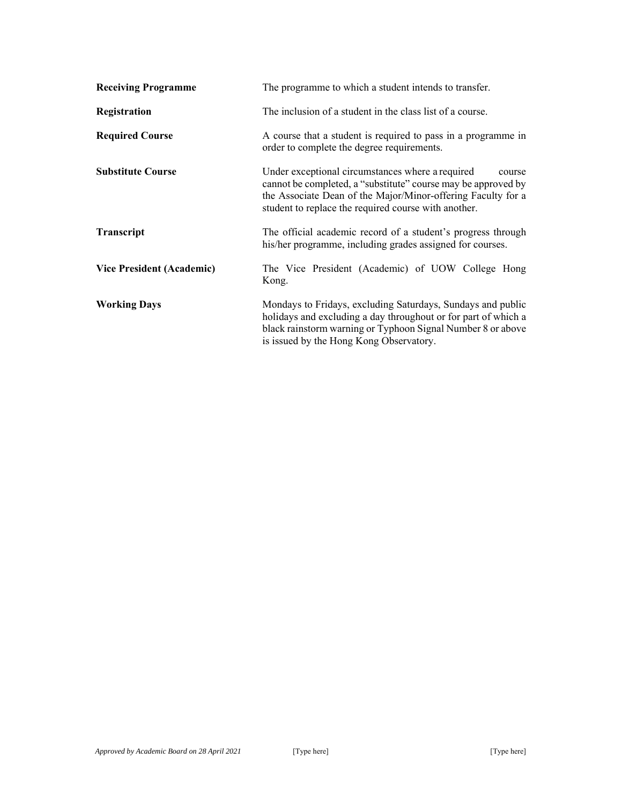| <b>Receiving Programme</b>       | The programme to which a student intends to transfer.                                                                                                                                                                                               |  |
|----------------------------------|-----------------------------------------------------------------------------------------------------------------------------------------------------------------------------------------------------------------------------------------------------|--|
| Registration                     | The inclusion of a student in the class list of a course.                                                                                                                                                                                           |  |
| <b>Required Course</b>           | A course that a student is required to pass in a programme in<br>order to complete the degree requirements.                                                                                                                                         |  |
| <b>Substitute Course</b>         | Under exceptional circumstances where a required<br>course<br>cannot be completed, a "substitute" course may be approved by<br>the Associate Dean of the Major/Minor-offering Faculty for a<br>student to replace the required course with another. |  |
| Transcript                       | The official academic record of a student's progress through<br>his/her programme, including grades assigned for courses.                                                                                                                           |  |
| <b>Vice President (Academic)</b> | The Vice President (Academic) of UOW College Hong<br>Kong.                                                                                                                                                                                          |  |
| <b>Working Days</b>              | Mondays to Fridays, excluding Saturdays, Sundays and public<br>holidays and excluding a day throughout or for part of which a<br>black rainstorm warning or Typhoon Signal Number 8 or above<br>is issued by the Hong Kong Observatory.             |  |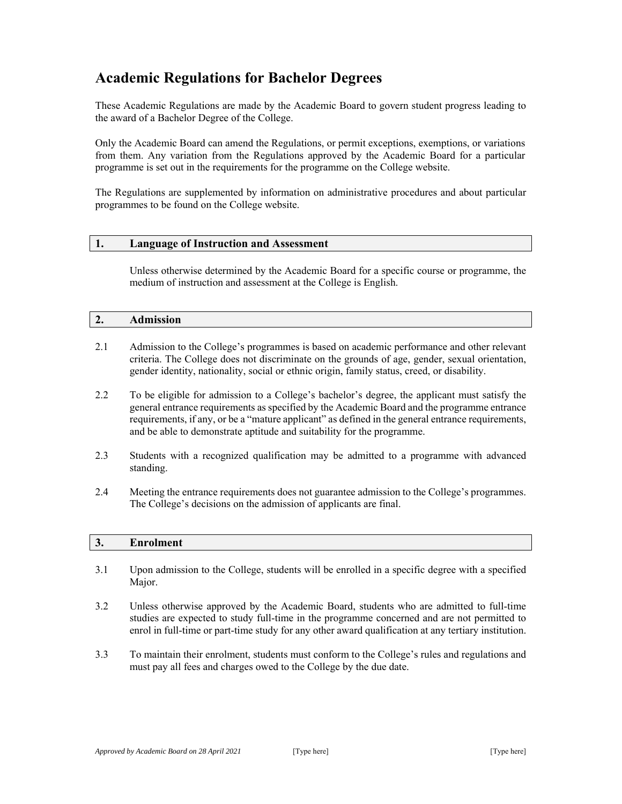# **Academic Regulations for Bachelor Degrees**

These Academic Regulations are made by the Academic Board to govern student progress leading to the award of a Bachelor Degree of the College.

Only the Academic Board can amend the Regulations, or permit exceptions, exemptions, or variations from them. Any variation from the Regulations approved by the Academic Board for a particular programme is set out in the requirements for the programme on the College website.

The Regulations are supplemented by information on administrative procedures and about particular programmes to be found on the College website.

#### **1. Language of Instruction and Assessment**

Unless otherwise determined by the Academic Board for a specific course or programme, the medium of instruction and assessment at the College is English.

#### **2. Admission**

- 2.1 Admission to the College's programmes is based on academic performance and other relevant criteria. The College does not discriminate on the grounds of age, gender, sexual orientation, gender identity, nationality, social or ethnic origin, family status, creed, or disability.
- 2.2 To be eligible for admission to a College's bachelor's degree, the applicant must satisfy the general entrance requirements as specified by the Academic Board and the programme entrance requirements, if any, or be a "mature applicant" as defined in the general entrance requirements, and be able to demonstrate aptitude and suitability for the programme.
- 2.3 Students with a recognized qualification may be admitted to a programme with advanced standing.
- 2.4 Meeting the entrance requirements does not guarantee admission to the College's programmes. The College's decisions on the admission of applicants are final.

### **3. Enrolment**

- 3.1 Upon admission to the College, students will be enrolled in a specific degree with a specified Major.
- 3.2 Unless otherwise approved by the Academic Board, students who are admitted to full-time studies are expected to study full-time in the programme concerned and are not permitted to enrol in full-time or part-time study for any other award qualification at any tertiary institution.
- 3.3 To maintain their enrolment, students must conform to the College's rules and regulations and must pay all fees and charges owed to the College by the due date.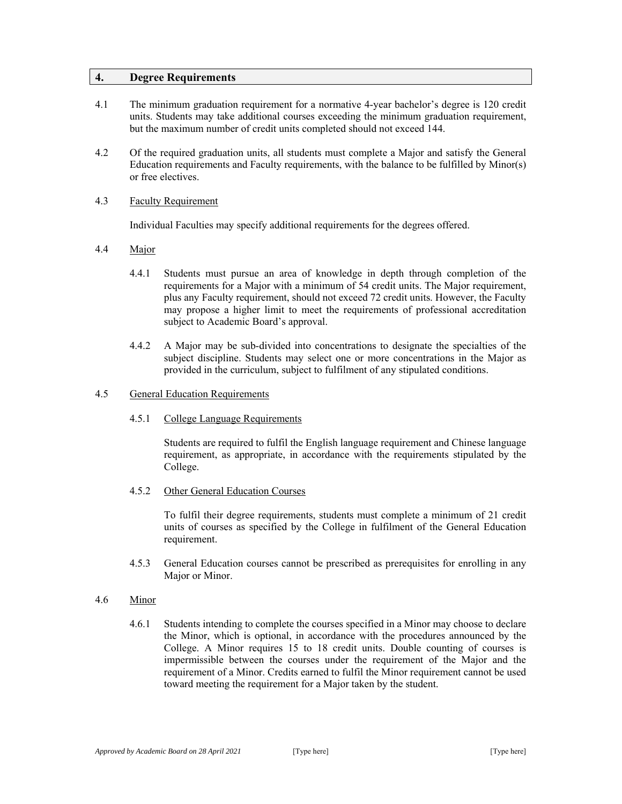### **4. Degree Requirements**

- 4.1 The minimum graduation requirement for a normative 4-year bachelor's degree is 120 credit units. Students may take additional courses exceeding the minimum graduation requirement, but the maximum number of credit units completed should not exceed 144.
- 4.2 Of the required graduation units, all students must complete a Major and satisfy the General Education requirements and Faculty requirements, with the balance to be fulfilled by Minor(s) or free electives.

#### 4.3 Faculty Requirement

Individual Faculties may specify additional requirements for the degrees offered.

- 4.4 Major
	- 4.4.1 Students must pursue an area of knowledge in depth through completion of the requirements for a Major with a minimum of 54 credit units. The Major requirement, plus any Faculty requirement, should not exceed 72 credit units. However, the Faculty may propose a higher limit to meet the requirements of professional accreditation subject to Academic Board's approval.
	- 4.4.2 A Major may be sub-divided into concentrations to designate the specialties of the subject discipline. Students may select one or more concentrations in the Major as provided in the curriculum, subject to fulfilment of any stipulated conditions.
- 4.5 General Education Requirements
	- 4.5.1 College Language Requirements

Students are required to fulfil the English language requirement and Chinese language requirement, as appropriate, in accordance with the requirements stipulated by the College.

4.5.2 Other General Education Courses

To fulfil their degree requirements, students must complete a minimum of 21 credit units of courses as specified by the College in fulfilment of the General Education requirement.

4.5.3 General Education courses cannot be prescribed as prerequisites for enrolling in any Major or Minor.

#### 4.6 Minor

4.6.1 Students intending to complete the courses specified in a Minor may choose to declare the Minor, which is optional, in accordance with the procedures announced by the College. A Minor requires 15 to 18 credit units. Double counting of courses is impermissible between the courses under the requirement of the Major and the requirement of a Minor. Credits earned to fulfil the Minor requirement cannot be used toward meeting the requirement for a Major taken by the student.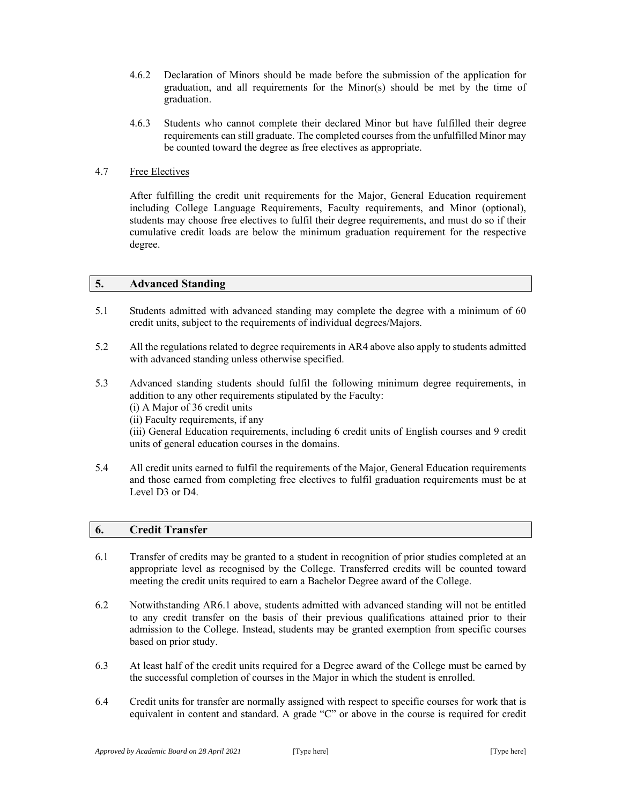- 4.6.2 Declaration of Minors should be made before the submission of the application for graduation, and all requirements for the Minor(s) should be met by the time of graduation.
- 4.6.3 Students who cannot complete their declared Minor but have fulfilled their degree requirements can still graduate. The completed courses from the unfulfilled Minor may be counted toward the degree as free electives as appropriate.

### 4.7 Free Electives

After fulfilling the credit unit requirements for the Major, General Education requirement including College Language Requirements, Faculty requirements, and Minor (optional), students may choose free electives to fulfil their degree requirements, and must do so if their cumulative credit loads are below the minimum graduation requirement for the respective degree.

### **5. Advanced Standing**

- 5.1 Students admitted with advanced standing may complete the degree with a minimum of 60 credit units, subject to the requirements of individual degrees/Majors.
- 5.2 All the regulations related to degree requirements in AR4 above also apply to students admitted with advanced standing unless otherwise specified.
- 5.3 Advanced standing students should fulfil the following minimum degree requirements, in addition to any other requirements stipulated by the Faculty: (i) A Major of 36 credit units (ii) Faculty requirements, if any (iii) General Education requirements, including 6 credit units of English courses and 9 credit units of general education courses in the domains.
- 5.4 All credit units earned to fulfil the requirements of the Major, General Education requirements and those earned from completing free electives to fulfil graduation requirements must be at Level D3 or D4.

### **6. Credit Transfer**

- 6.1 Transfer of credits may be granted to a student in recognition of prior studies completed at an appropriate level as recognised by the College. Transferred credits will be counted toward meeting the credit units required to earn a Bachelor Degree award of the College.
- 6.2 Notwithstanding AR6.1 above, students admitted with advanced standing will not be entitled to any credit transfer on the basis of their previous qualifications attained prior to their admission to the College. Instead, students may be granted exemption from specific courses based on prior study.
- 6.3 At least half of the credit units required for a Degree award of the College must be earned by the successful completion of courses in the Major in which the student is enrolled.
- 6.4 Credit units for transfer are normally assigned with respect to specific courses for work that is equivalent in content and standard. A grade "C" or above in the course is required for credit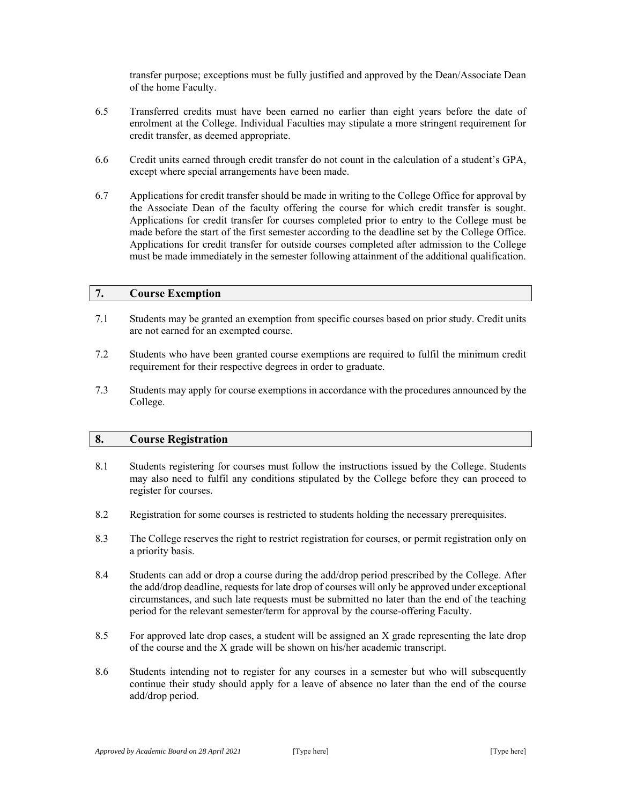transfer purpose; exceptions must be fully justified and approved by the Dean/Associate Dean of the home Faculty.

- 6.5 Transferred credits must have been earned no earlier than eight years before the date of enrolment at the College. Individual Faculties may stipulate a more stringent requirement for credit transfer, as deemed appropriate.
- 6.6 Credit units earned through credit transfer do not count in the calculation of a student's GPA, except where special arrangements have been made.
- 6.7 Applications for credit transfer should be made in writing to the College Office for approval by the Associate Dean of the faculty offering the course for which credit transfer is sought. Applications for credit transfer for courses completed prior to entry to the College must be made before the start of the first semester according to the deadline set by the College Office. Applications for credit transfer for outside courses completed after admission to the College must be made immediately in the semester following attainment of the additional qualification.

### **7. Course Exemption**

- 7.1 Students may be granted an exemption from specific courses based on prior study. Credit units are not earned for an exempted course.
- 7.2 Students who have been granted course exemptions are required to fulfil the minimum credit requirement for their respective degrees in order to graduate.
- 7.3 Students may apply for course exemptions in accordance with the procedures announced by the College.

### **8. Course Registration**

- 8.1 Students registering for courses must follow the instructions issued by the College. Students may also need to fulfil any conditions stipulated by the College before they can proceed to register for courses.
- 8.2 Registration for some courses is restricted to students holding the necessary prerequisites.
- 8.3 The College reserves the right to restrict registration for courses, or permit registration only on a priority basis.
- 8.4 Students can add or drop a course during the add/drop period prescribed by the College. After the add/drop deadline, requests for late drop of courses will only be approved under exceptional circumstances, and such late requests must be submitted no later than the end of the teaching period for the relevant semester/term for approval by the course-offering Faculty.
- 8.5 For approved late drop cases, a student will be assigned an X grade representing the late drop of the course and the X grade will be shown on his/her academic transcript.
- 8.6 Students intending not to register for any courses in a semester but who will subsequently continue their study should apply for a leave of absence no later than the end of the course add/drop period.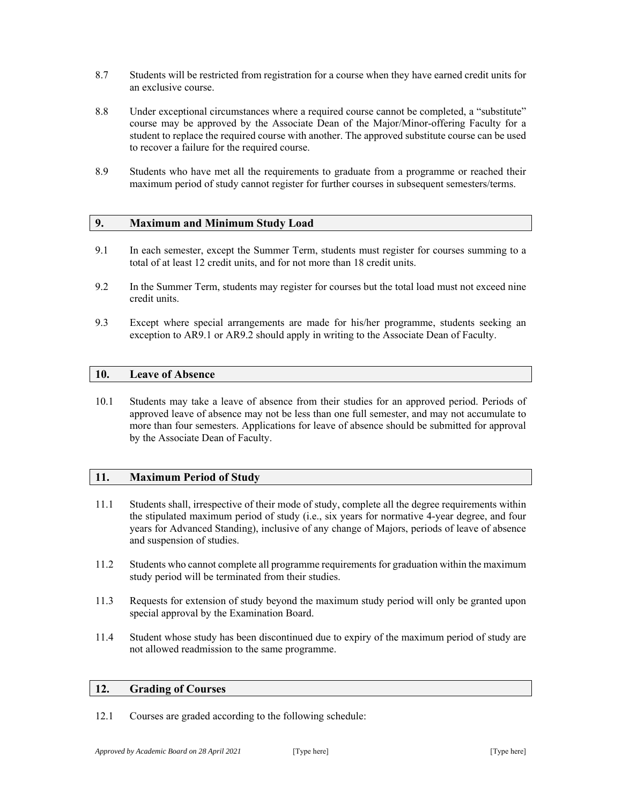- 8.7 Students will be restricted from registration for a course when they have earned credit units for an exclusive course.
- 8.8 Under exceptional circumstances where a required course cannot be completed, a "substitute" course may be approved by the Associate Dean of the Major/Minor-offering Faculty for a student to replace the required course with another. The approved substitute course can be used to recover a failure for the required course.
- 8.9 Students who have met all the requirements to graduate from a programme or reached their maximum period of study cannot register for further courses in subsequent semesters/terms.

### **9. Maximum and Minimum Study Load**

- 9.1 In each semester, except the Summer Term, students must register for courses summing to a total of at least 12 credit units, and for not more than 18 credit units.
- 9.2 In the Summer Term, students may register for courses but the total load must not exceed nine credit units.
- 9.3 Except where special arrangements are made for his/her programme, students seeking an exception to AR9.1 or AR9.2 should apply in writing to the Associate Dean of Faculty.

### **10. Leave of Absence**

10.1 Students may take a leave of absence from their studies for an approved period. Periods of approved leave of absence may not be less than one full semester, and may not accumulate to more than four semesters. Applications for leave of absence should be submitted for approval by the Associate Dean of Faculty.

### **11. Maximum Period of Study**

- 11.1 Students shall, irrespective of their mode of study, complete all the degree requirements within the stipulated maximum period of study (i.e., six years for normative 4-year degree, and four years for Advanced Standing), inclusive of any change of Majors, periods of leave of absence and suspension of studies.
- 11.2 Students who cannot complete all programme requirements for graduation within the maximum study period will be terminated from their studies.
- 11.3 Requests for extension of study beyond the maximum study period will only be granted upon special approval by the Examination Board.
- 11.4 Student whose study has been discontinued due to expiry of the maximum period of study are not allowed readmission to the same programme.

### **12. Grading of Courses**

12.1 Courses are graded according to the following schedule: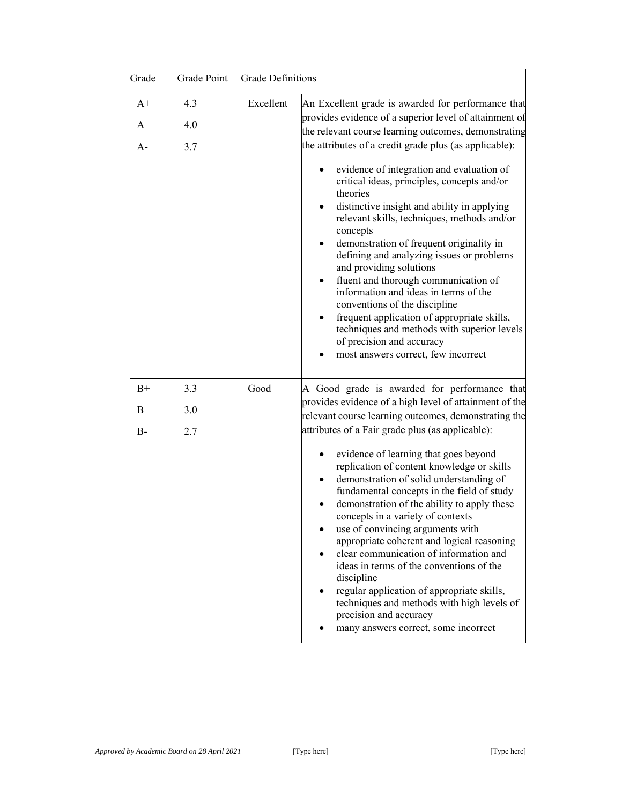| Grade             | <b>Grade Point</b> | <b>Grade Definitions</b> |                                                                                                                                                                                                                                                                                                                                                                                                                                                                                                                                                                                                                                                                                                                                                                                                                                                                                    |
|-------------------|--------------------|--------------------------|------------------------------------------------------------------------------------------------------------------------------------------------------------------------------------------------------------------------------------------------------------------------------------------------------------------------------------------------------------------------------------------------------------------------------------------------------------------------------------------------------------------------------------------------------------------------------------------------------------------------------------------------------------------------------------------------------------------------------------------------------------------------------------------------------------------------------------------------------------------------------------|
| $A+$<br>A<br>A-   | 4.3<br>4.0<br>3.7  | Excellent                | An Excellent grade is awarded for performance that<br>provides evidence of a superior level of attainment of<br>the relevant course learning outcomes, demonstrating<br>the attributes of a credit grade plus (as applicable):<br>evidence of integration and evaluation of<br>$\bullet$<br>critical ideas, principles, concepts and/or<br>theories<br>distinctive insight and ability in applying<br>$\bullet$<br>relevant skills, techniques, methods and/or<br>concepts<br>demonstration of frequent originality in<br>defining and analyzing issues or problems<br>and providing solutions<br>fluent and thorough communication of<br>information and ideas in terms of the<br>conventions of the discipline<br>frequent application of appropriate skills,<br>techniques and methods with superior levels<br>of precision and accuracy<br>most answers correct, few incorrect |
| $B+$<br>B<br>$B-$ | 3.3<br>3.0<br>2.7  | Good                     | A Good grade is awarded for performance that<br>provides evidence of a high level of attainment of the<br>relevant course learning outcomes, demonstrating the<br>attributes of a Fair grade plus (as applicable):<br>evidence of learning that goes beyond<br>replication of content knowledge or skills<br>demonstration of solid understanding of<br>fundamental concepts in the field of study<br>demonstration of the ability to apply these<br>concepts in a variety of contexts<br>use of convincing arguments with<br>appropriate coherent and logical reasoning<br>clear communication of information and<br>ideas in terms of the conventions of the<br>discipline<br>regular application of appropriate skills,<br>techniques and methods with high levels of<br>precision and accuracy<br>many answers correct, some incorrect                                         |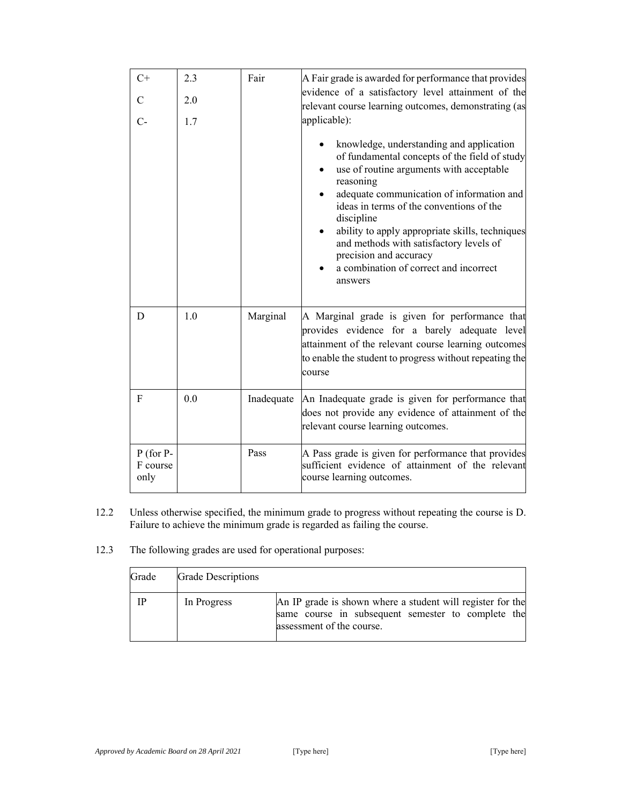| $C+$                            | 2.3 | Fair       | A Fair grade is awarded for performance that provides                                                                                                                                                                                                                                                                                                                                                                                  |
|---------------------------------|-----|------------|----------------------------------------------------------------------------------------------------------------------------------------------------------------------------------------------------------------------------------------------------------------------------------------------------------------------------------------------------------------------------------------------------------------------------------------|
| $\mathcal{C}$                   | 2.0 |            | evidence of a satisfactory level attainment of the<br>relevant course learning outcomes, demonstrating (as                                                                                                                                                                                                                                                                                                                             |
| С-                              | 1.7 |            | applicable):                                                                                                                                                                                                                                                                                                                                                                                                                           |
|                                 |     |            | knowledge, understanding and application<br>of fundamental concepts of the field of study<br>use of routine arguments with acceptable<br>reasoning<br>adequate communication of information and<br>ideas in terms of the conventions of the<br>discipline<br>ability to apply appropriate skills, techniques<br>and methods with satisfactory levels of<br>precision and accuracy<br>a combination of correct and incorrect<br>answers |
| D                               | 1.0 | Marginal   | A Marginal grade is given for performance that<br>provides evidence for a barely adequate level<br>attainment of the relevant course learning outcomes<br>to enable the student to progress without repeating the<br>course                                                                                                                                                                                                            |
| F                               | 0.0 | Inadequate | An Inadequate grade is given for performance that<br>does not provide any evidence of attainment of the<br>relevant course learning outcomes.                                                                                                                                                                                                                                                                                          |
| $P$ (for P-<br>F course<br>only |     | Pass       | A Pass grade is given for performance that provides<br>sufficient evidence of attainment of the relevant<br>course learning outcomes.                                                                                                                                                                                                                                                                                                  |

- 12.2 Unless otherwise specified, the minimum grade to progress without repeating the course is D. Failure to achieve the minimum grade is regarded as failing the course.
- 12.3 The following grades are used for operational purposes:

| Grade | <b>Grade Descriptions</b> |                                                                                                                                               |
|-------|---------------------------|-----------------------------------------------------------------------------------------------------------------------------------------------|
| ΙP    | In Progress               | An IP grade is shown where a student will register for the<br>same course in subsequent semester to complete the<br>assessment of the course. |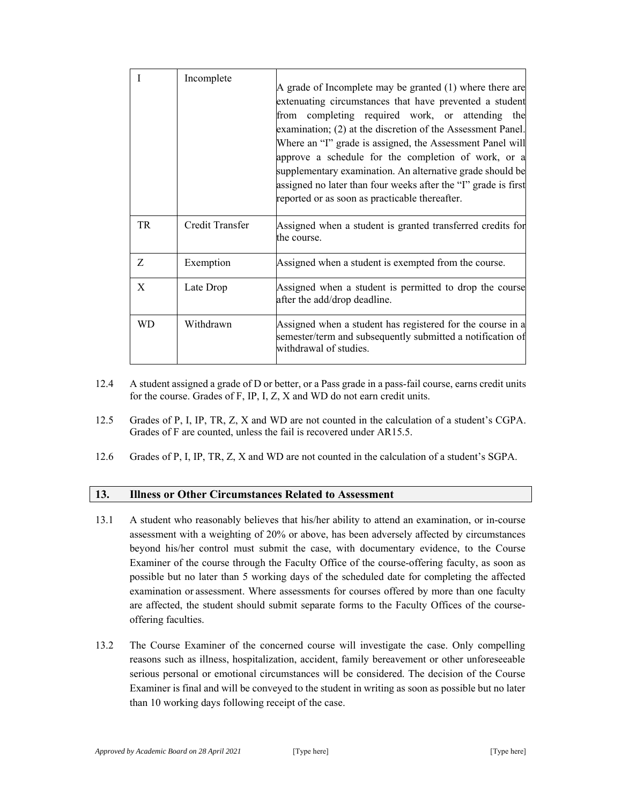|           | Incomplete      | A grade of Incomplete may be granted (1) where there are<br>extenuating circumstances that have prevented a student<br>from completing required work, or attending the<br>examination; (2) at the discretion of the Assessment Panel.<br>Where an "I" grade is assigned, the Assessment Panel will<br>approve a schedule for the completion of work, or a<br>supplementary examination. An alternative grade should be<br>assigned no later than four weeks after the "I" grade is first<br>reported or as soon as practicable thereafter. |
|-----------|-----------------|--------------------------------------------------------------------------------------------------------------------------------------------------------------------------------------------------------------------------------------------------------------------------------------------------------------------------------------------------------------------------------------------------------------------------------------------------------------------------------------------------------------------------------------------|
| TR        | Credit Transfer | Assigned when a student is granted transferred credits for<br>the course.                                                                                                                                                                                                                                                                                                                                                                                                                                                                  |
| Z         | Exemption       | Assigned when a student is exempted from the course.                                                                                                                                                                                                                                                                                                                                                                                                                                                                                       |
| X         | Late Drop       | Assigned when a student is permitted to drop the course<br>after the add/drop deadline.                                                                                                                                                                                                                                                                                                                                                                                                                                                    |
| <b>WD</b> | Withdrawn       | Assigned when a student has registered for the course in a<br>semester/term and subsequently submitted a notification of<br>withdrawal of studies.                                                                                                                                                                                                                                                                                                                                                                                         |

- 12.4 A student assigned a grade of D or better, or a Pass grade in a pass-fail course, earns credit units for the course. Grades of F, IP, I, Z, X and WD do not earn credit units.
- 12.5 Grades of P, I, IP, TR, Z, X and WD are not counted in the calculation of a student's CGPA. Grades of F are counted, unless the fail is recovered under AR15.5.
- 12.6 Grades of P, I, IP, TR, Z, X and WD are not counted in the calculation of a student's SGPA.

### **13. Illness or Other Circumstances Related to Assessment**

- 13.1 A student who reasonably believes that his/her ability to attend an examination, or in-course assessment with a weighting of 20% or above, has been adversely affected by circumstances beyond his/her control must submit the case, with documentary evidence, to the Course Examiner of the course through the Faculty Office of the course-offering faculty, as soon as possible but no later than 5 working days of the scheduled date for completing the affected examination or assessment. Where assessments for courses offered by more than one faculty are affected, the student should submit separate forms to the Faculty Offices of the courseoffering faculties.
- 13.2 The Course Examiner of the concerned course will investigate the case. Only compelling reasons such as illness, hospitalization, accident, family bereavement or other unforeseeable serious personal or emotional circumstances will be considered. The decision of the Course Examiner is final and will be conveyed to the student in writing as soon as possible but no later than 10 working days following receipt of the case.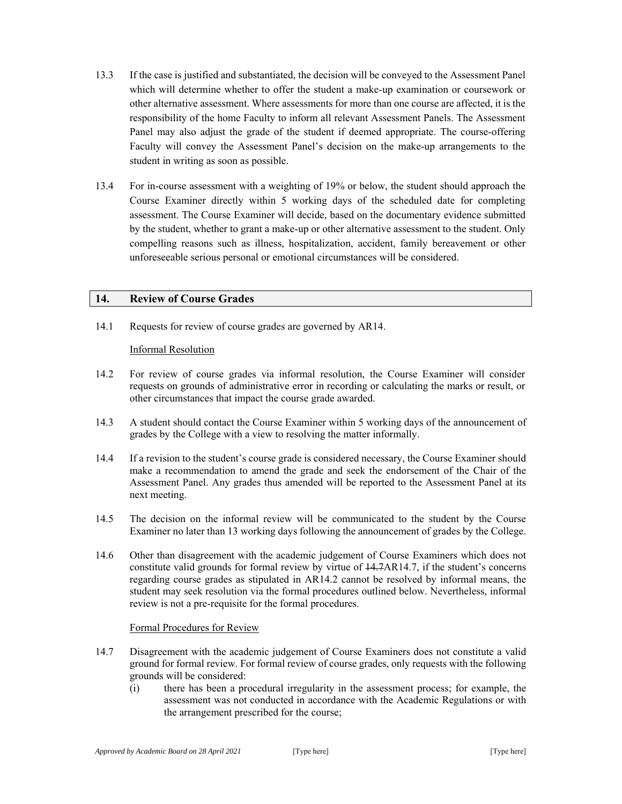- 13.3 If the case is justified and substantiated, the decision will be conveyed to the Assessment Panel which will determine whether to offer the student a make-up examination or coursework or other alternative assessment. Where assessments for more than one course are affected, it is the responsibility of the home Faculty to inform all relevant Assessment Panels. The Assessment Panel may also adjust the grade of the student if deemed appropriate. The course-offering Faculty will convey the Assessment Panel's decision on the make-up arrangements to the student in writing as soon as possible.
- 13.4 For in-course assessment with a weighting of 19% or below, the student should approach the Course Examiner directly within 5 working days of the scheduled date for completing assessment. The Course Examiner will decide, based on the documentary evidence submitted by the student, whether to grant a make-up or other alternative assessment to the student. Only compelling reasons such as illness, hospitalization, accident, family bereavement or other unforeseeable serious personal or emotional circumstances will be considered.

### **14. Review of Course Grades**

14.1 Requests for review of course grades are governed by AR14.

### Informal Resolution

- 14.2 For review of course grades via informal resolution, the Course Examiner will consider requests on grounds of administrative error in recording or calculating the marks or result, or other circumstances that impact the course grade awarded.
- 14.3 A student should contact the Course Examiner within 5 working days of the announcement of grades by the College with a view to resolving the matter informally.
- 14.4 If a revision to the student's course grade is considered necessary, the Course Examiner should make a recommendation to amend the grade and seek the endorsement of the Chair of the Assessment Panel. Any grades thus amended will be reported to the Assessment Panel at its next meeting.
- 14.5 The decision on the informal review will be communicated to the student by the Course Examiner no later than 13 working days following the announcement of grades by the College.
- 14.6 Other than disagreement with the academic judgement of Course Examiners which does not constitute valid grounds for formal review by virtue of 14.7AR14.7, if the student's concerns regarding course grades as stipulated in AR14.2 cannot be resolved by informal means, the student may seek resolution via the formal procedures outlined below. Nevertheless, informal review is not a pre-requisite for the formal procedures.

### Formal Procedures for Review

- 14.7 Disagreement with the academic judgement of Course Examiners does not constitute a valid ground for formal review. For formal review of course grades, only requests with the following grounds will be considered:
	- (i) there has been a procedural irregularity in the assessment process; for example, the assessment was not conducted in accordance with the Academic Regulations or with the arrangement prescribed for the course;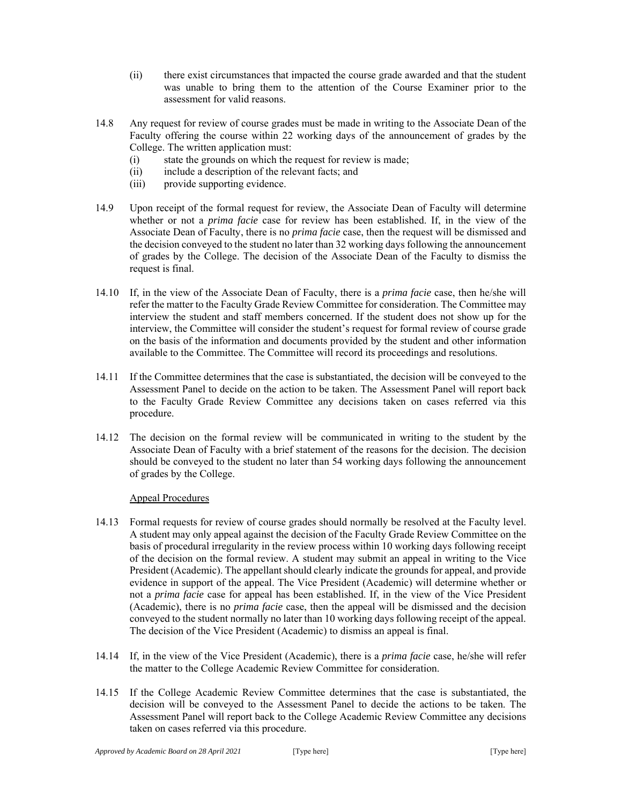- (ii) there exist circumstances that impacted the course grade awarded and that the student was unable to bring them to the attention of the Course Examiner prior to the assessment for valid reasons.
- 14.8 Any request for review of course grades must be made in writing to the Associate Dean of the Faculty offering the course within 22 working days of the announcement of grades by the College. The written application must:
	- (i) state the grounds on which the request for review is made;
	- (ii) include a description of the relevant facts; and
	- (iii) provide supporting evidence.
- 14.9 Upon receipt of the formal request for review, the Associate Dean of Faculty will determine whether or not a *prima facie* case for review has been established. If, in the view of the Associate Dean of Faculty, there is no *prima facie* case, then the request will be dismissed and the decision conveyed to the student no later than 32 working days following the announcement of grades by the College. The decision of the Associate Dean of the Faculty to dismiss the request is final.
- 14.10 If, in the view of the Associate Dean of Faculty, there is a *prima facie* case, then he/she will refer the matter to the Faculty Grade Review Committee for consideration. The Committee may interview the student and staff members concerned. If the student does not show up for the interview, the Committee will consider the student's request for formal review of course grade on the basis of the information and documents provided by the student and other information available to the Committee. The Committee will record its proceedings and resolutions.
- 14.11 If the Committee determines that the case is substantiated, the decision will be conveyed to the Assessment Panel to decide on the action to be taken. The Assessment Panel will report back to the Faculty Grade Review Committee any decisions taken on cases referred via this procedure.
- 14.12 The decision on the formal review will be communicated in writing to the student by the Associate Dean of Faculty with a brief statement of the reasons for the decision. The decision should be conveyed to the student no later than 54 working days following the announcement of grades by the College.

### Appeal Procedures

- 14.13 Formal requests for review of course grades should normally be resolved at the Faculty level. A student may only appeal against the decision of the Faculty Grade Review Committee on the basis of procedural irregularity in the review process within 10 working days following receipt of the decision on the formal review. A student may submit an appeal in writing to the Vice President (Academic). The appellant should clearly indicate the grounds for appeal, and provide evidence in support of the appeal. The Vice President (Academic) will determine whether or not a *prima facie* case for appeal has been established. If, in the view of the Vice President (Academic), there is no *prima facie* case, then the appeal will be dismissed and the decision conveyed to the student normally no later than 10 working days following receipt of the appeal. The decision of the Vice President (Academic) to dismiss an appeal is final.
- 14.14 If, in the view of the Vice President (Academic), there is a *prima facie* case, he/she will refer the matter to the College Academic Review Committee for consideration.
- 14.15 If the College Academic Review Committee determines that the case is substantiated, the decision will be conveyed to the Assessment Panel to decide the actions to be taken. The Assessment Panel will report back to the College Academic Review Committee any decisions taken on cases referred via this procedure.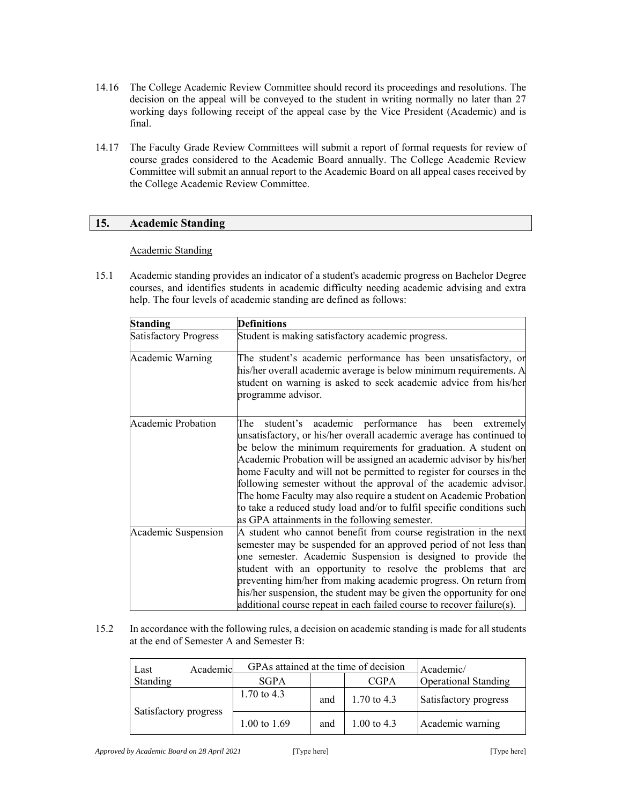- 14.16 The College Academic Review Committee should record its proceedings and resolutions. The decision on the appeal will be conveyed to the student in writing normally no later than 27 working days following receipt of the appeal case by the Vice President (Academic) and is final.
- 14.17 The Faculty Grade Review Committees will submit a report of formal requests for review of course grades considered to the Academic Board annually. The College Academic Review Committee will submit an annual report to the Academic Board on all appeal cases received by the College Academic Review Committee.

### **15. Academic Standing**

#### Academic Standing

15.1 Academic standing provides an indicator of a student's academic progress on Bachelor Degree courses, and identifies students in academic difficulty needing academic advising and extra help. The four levels of academic standing are defined as follows:

| <b>Standing</b>              | <b>Definitions</b>                                                                                                                                                                                                                                                                                                                                                                                                                                                                                                                                                                                                       |  |  |
|------------------------------|--------------------------------------------------------------------------------------------------------------------------------------------------------------------------------------------------------------------------------------------------------------------------------------------------------------------------------------------------------------------------------------------------------------------------------------------------------------------------------------------------------------------------------------------------------------------------------------------------------------------------|--|--|
| <b>Satisfactory Progress</b> | Student is making satisfactory academic progress.                                                                                                                                                                                                                                                                                                                                                                                                                                                                                                                                                                        |  |  |
| Academic Warning             | The student's academic performance has been unsatisfactory, or<br>his/her overall academic average is below minimum requirements. A<br>student on warning is asked to seek academic advice from his/her<br>programme advisor.                                                                                                                                                                                                                                                                                                                                                                                            |  |  |
| <b>Academic Probation</b>    | student's academic performance<br>has been extremely<br>The<br>unsatisfactory, or his/her overall academic average has continued to<br>be below the minimum requirements for graduation. A student on<br>Academic Probation will be assigned an academic advisor by his/her<br>home Faculty and will not be permitted to register for courses in the<br>following semester without the approval of the academic advisor.<br>The home Faculty may also require a student on Academic Probation<br>to take a reduced study load and/or to fulfil specific conditions such<br>as GPA attainments in the following semester. |  |  |
| Academic Suspension          | A student who cannot benefit from course registration in the next<br>semester may be suspended for an approved period of not less than<br>one semester. Academic Suspension is designed to provide the<br>student with an opportunity to resolve the problems that are<br>preventing him/her from making academic progress. On return from<br>his/her suspension, the student may be given the opportunity for one<br>additional course repeat in each failed course to recover failure(s).                                                                                                                              |  |  |

15.2 In accordance with the following rules, a decision on academic standing is made for all students at the end of Semester A and Semester B:

| Last                  | Academic | GPAs attained at the time of decision |     |               | Academic/                   |
|-----------------------|----------|---------------------------------------|-----|---------------|-----------------------------|
| Standing              |          | <b>SGPA</b>                           |     | <b>CGPA</b>   | <b>Operational Standing</b> |
| Satisfactory progress |          | 1.70 to 4.3                           | and | 1.70 to $4.3$ | Satisfactory progress       |
|                       |          | 1.00 to 1.69                          | and | 1.00 to 4.3   | Academic warning            |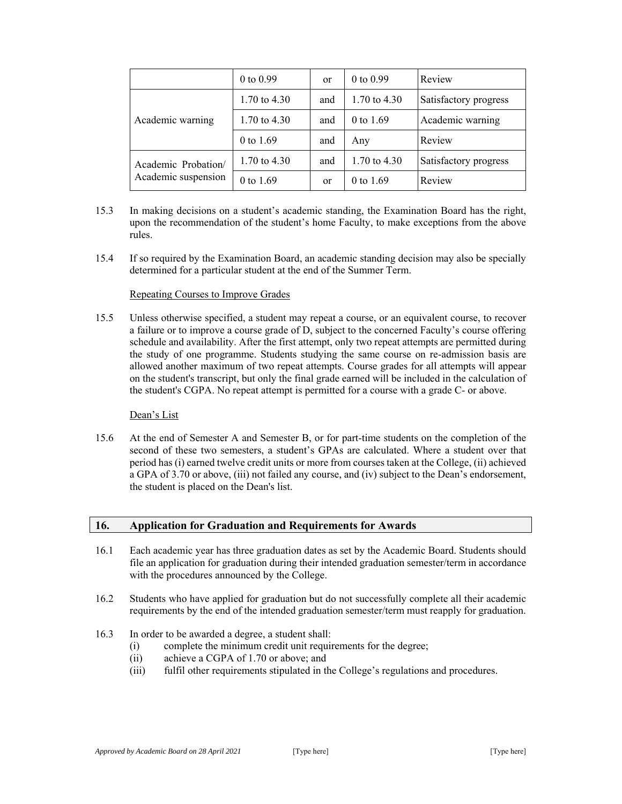|                     | $0$ to $0.99$  | <sub>or</sub> | $0$ to $0.99$  | Review                |
|---------------------|----------------|---------------|----------------|-----------------------|
| Academic warning    | 1.70 to $4.30$ | and           | 1.70 to $4.30$ | Satisfactory progress |
|                     | 1.70 to $4.30$ | and           | $0$ to 1.69    | Academic warning      |
|                     | 0 to 1.69      | and           | Any            | Review                |
| Academic Probation/ | 1.70 to 4.30   | and           | 1.70 to $4.30$ | Satisfactory progress |
| Academic suspension | 0 to $1.69$    | <sub>or</sub> | 0 to 1.69      | Review                |

- 15.3 In making decisions on a student's academic standing, the Examination Board has the right, upon the recommendation of the student's home Faculty, to make exceptions from the above rules.
- 15.4 If so required by the Examination Board, an academic standing decision may also be specially determined for a particular student at the end of the Summer Term.

### Repeating Courses to Improve Grades

15.5 Unless otherwise specified, a student may repeat a course, or an equivalent course, to recover a failure or to improve a course grade of D, subject to the concerned Faculty's course offering schedule and availability. After the first attempt, only two repeat attempts are permitted during the study of one programme. Students studying the same course on re-admission basis are allowed another maximum of two repeat attempts. Course grades for all attempts will appear on the student's transcript, but only the final grade earned will be included in the calculation of the student's CGPA. No repeat attempt is permitted for a course with a grade C- or above.

### Dean's List

15.6 At the end of Semester A and Semester B, or for part-time students on the completion of the second of these two semesters, a student's GPAs are calculated. Where a student over that period has (i) earned twelve credit units or more from courses taken at the College, (ii) achieved a GPA of 3.70 or above, (iii) not failed any course, and (iv) subject to the Dean's endorsement, the student is placed on the Dean's list.

### **16. Application for Graduation and Requirements for Awards**

- 16.1 Each academic year has three graduation dates as set by the Academic Board. Students should file an application for graduation during their intended graduation semester/term in accordance with the procedures announced by the College.
- 16.2 Students who have applied for graduation but do not successfully complete all their academic requirements by the end of the intended graduation semester/term must reapply for graduation.
- 16.3 In order to be awarded a degree, a student shall:
	- (i) complete the minimum credit unit requirements for the degree;
	- (ii) achieve a CGPA of 1.70 or above; and
	- (iii) fulfil other requirements stipulated in the College's regulations and procedures.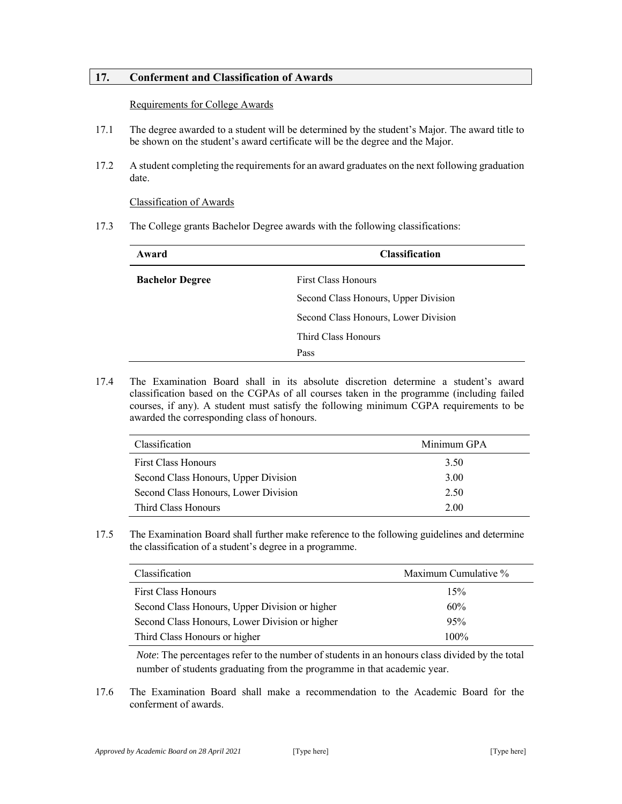### **17. Conferment and Classification of Awards**

#### Requirements for College Awards

- 17.1 The degree awarded to a student will be determined by the student's Major. The award title to be shown on the student's award certificate will be the degree and the Major.
- 17.2 A student completing the requirements for an award graduates on the next following graduation date.

### Classification of Awards

17.3 The College grants Bachelor Degree awards with the following classifications:

| Award                  | <b>Classification</b>                |  |
|------------------------|--------------------------------------|--|
| <b>Bachelor Degree</b> | <b>First Class Honours</b>           |  |
|                        | Second Class Honours, Upper Division |  |
|                        | Second Class Honours, Lower Division |  |
|                        | Third Class Honours                  |  |
|                        | Pass                                 |  |

17.4 The Examination Board shall in its absolute discretion determine a student's award classification based on the CGPAs of all courses taken in the programme (including failed courses, if any). A student must satisfy the following minimum CGPA requirements to be awarded the corresponding class of honours.

| Classification                       | Minimum GPA |
|--------------------------------------|-------------|
| <b>First Class Honours</b>           | 3.50        |
| Second Class Honours, Upper Division | 3.00        |
| Second Class Honours, Lower Division | 2.50        |
| Third Class Honours                  | 2.00        |

17.5 The Examination Board shall further make reference to the following guidelines and determine the classification of a student's degree in a programme.

| Classification                                 | Maximum Cumulative % |
|------------------------------------------------|----------------------|
| <b>First Class Honours</b>                     | 15%                  |
| Second Class Honours, Upper Division or higher | 60%                  |
| Second Class Honours, Lower Division or higher | 95%                  |
| Third Class Honours or higher                  | $100\%$              |

*Note*: The percentages refer to the number of students in an honours class divided by the total number of students graduating from the programme in that academic year.

17.6 The Examination Board shall make a recommendation to the Academic Board for the conferment of awards.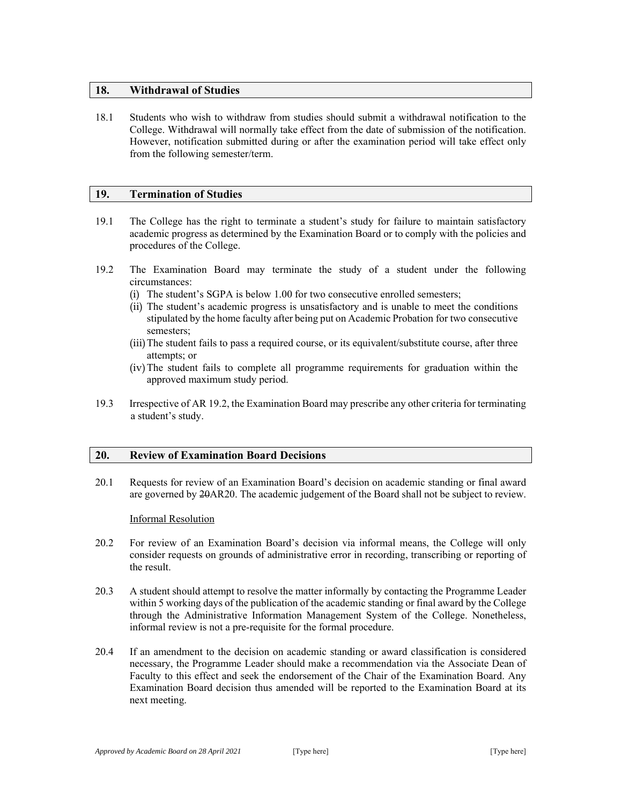### **18. Withdrawal of Studies**

18.1 Students who wish to withdraw from studies should submit a withdrawal notification to the College. Withdrawal will normally take effect from the date of submission of the notification. However, notification submitted during or after the examination period will take effect only from the following semester/term.

### **19. Termination of Studies**

- 19.1 The College has the right to terminate a student's study for failure to maintain satisfactory academic progress as determined by the Examination Board or to comply with the policies and procedures of the College.
- 19.2 The Examination Board may terminate the study of a student under the following circumstances:
	- (i) The student's SGPA is below 1.00 for two consecutive enrolled semesters;
	- (ii) The student's academic progress is unsatisfactory and is unable to meet the conditions stipulated by the home faculty after being put on Academic Probation for two consecutive semesters;
	- (iii)The student fails to pass a required course, or its equivalent/substitute course, after three attempts; or
	- (iv)The student fails to complete all programme requirements for graduation within the approved maximum study period.
- 19.3 Irrespective of AR 19.2, the Examination Board may prescribe any other criteria for terminating a student's study.

### **20. Review of Examination Board Decisions**

20.1 Requests for review of an Examination Board's decision on academic standing or final award are governed by 20AR20. The academic judgement of the Board shall not be subject to review.

### Informal Resolution

- 20.2 For review of an Examination Board's decision via informal means, the College will only consider requests on grounds of administrative error in recording, transcribing or reporting of the result.
- 20.3 A student should attempt to resolve the matter informally by contacting the Programme Leader within 5 working days of the publication of the academic standing or final award by the College through the Administrative Information Management System of the College. Nonetheless, informal review is not a pre-requisite for the formal procedure.
- 20.4 If an amendment to the decision on academic standing or award classification is considered necessary, the Programme Leader should make a recommendation via the Associate Dean of Faculty to this effect and seek the endorsement of the Chair of the Examination Board. Any Examination Board decision thus amended will be reported to the Examination Board at its next meeting.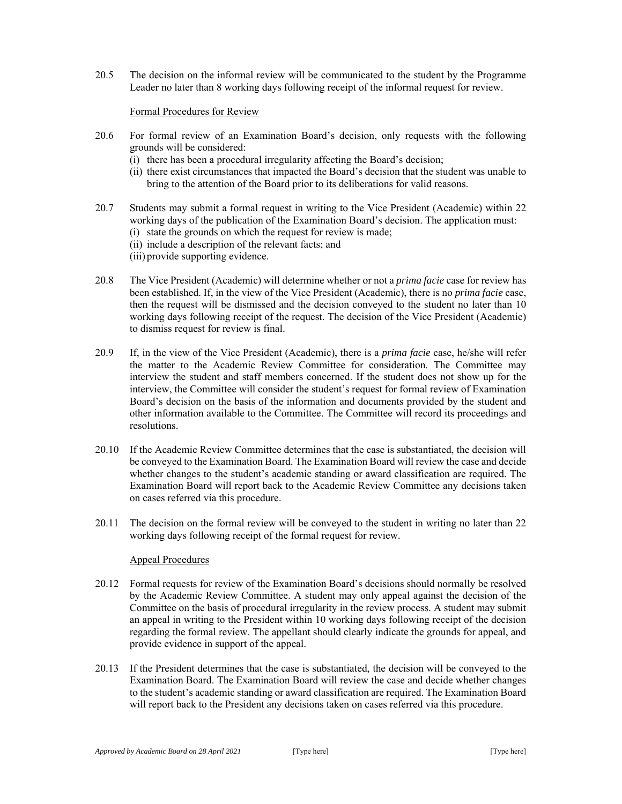20.5 The decision on the informal review will be communicated to the student by the Programme Leader no later than 8 working days following receipt of the informal request for review.

### Formal Procedures for Review

- 20.6 For formal review of an Examination Board's decision, only requests with the following grounds will be considered:
	- (i) there has been a procedural irregularity affecting the Board's decision;
	- (ii) there exist circumstances that impacted the Board's decision that the student was unable to bring to the attention of the Board prior to its deliberations for valid reasons.
- 20.7 Students may submit a formal request in writing to the Vice President (Academic) within 22 working days of the publication of the Examination Board's decision. The application must: (i) state the grounds on which the request for review is made;
	- (ii) include a description of the relevant facts; and
	- (iii) provide supporting evidence.
- 20.8 The Vice President (Academic) will determine whether or not a *prima facie* case for review has been established. If, in the view of the Vice President (Academic), there is no *prima facie* case, then the request will be dismissed and the decision conveyed to the student no later than 10 working days following receipt of the request. The decision of the Vice President (Academic) to dismiss request for review is final.
- 20.9 If, in the view of the Vice President (Academic), there is a *prima facie* case, he/she will refer the matter to the Academic Review Committee for consideration. The Committee may interview the student and staff members concerned. If the student does not show up for the interview, the Committee will consider the student's request for formal review of Examination Board's decision on the basis of the information and documents provided by the student and other information available to the Committee. The Committee will record its proceedings and resolutions.
- 20.10 If the Academic Review Committee determines that the case is substantiated, the decision will be conveyed to the Examination Board. The Examination Board will review the case and decide whether changes to the student's academic standing or award classification are required. The Examination Board will report back to the Academic Review Committee any decisions taken on cases referred via this procedure.
- 20.11 The decision on the formal review will be conveyed to the student in writing no later than 22 working days following receipt of the formal request for review.

### Appeal Procedures

- 20.12 Formal requests for review of the Examination Board's decisions should normally be resolved by the Academic Review Committee. A student may only appeal against the decision of the Committee on the basis of procedural irregularity in the review process. A student may submit an appeal in writing to the President within 10 working days following receipt of the decision regarding the formal review. The appellant should clearly indicate the grounds for appeal, and provide evidence in support of the appeal.
- 20.13 If the President determines that the case is substantiated, the decision will be conveyed to the Examination Board. The Examination Board will review the case and decide whether changes to the student's academic standing or award classification are required. The Examination Board will report back to the President any decisions taken on cases referred via this procedure.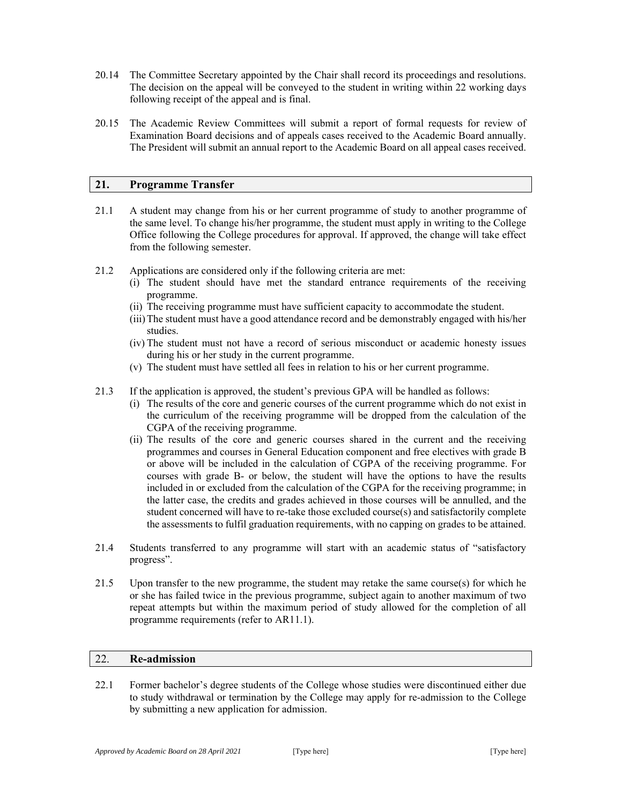- 20.14 The Committee Secretary appointed by the Chair shall record its proceedings and resolutions. The decision on the appeal will be conveyed to the student in writing within 22 working days following receipt of the appeal and is final.
- 20.15 The Academic Review Committees will submit a report of formal requests for review of Examination Board decisions and of appeals cases received to the Academic Board annually. The President will submit an annual report to the Academic Board on all appeal cases received.

### **21. Programme Transfer**

- 21.1 A student may change from his or her current programme of study to another programme of the same level. To change his/her programme, the student must apply in writing to the College Office following the College procedures for approval. If approved, the change will take effect from the following semester.
- 21.2 Applications are considered only if the following criteria are met:
	- (i) The student should have met the standard entrance requirements of the receiving programme.
	- (ii) The receiving programme must have sufficient capacity to accommodate the student.
	- (iii)The student must have a good attendance record and be demonstrably engaged with his/her studies.
	- (iv) The student must not have a record of serious misconduct or academic honesty issues during his or her study in the current programme.
	- (v) The student must have settled all fees in relation to his or her current programme.
- 21.3 If the application is approved, the student's previous GPA will be handled as follows:
	- (i) The results of the core and generic courses of the current programme which do not exist in the curriculum of the receiving programme will be dropped from the calculation of the CGPA of the receiving programme.
	- (ii) The results of the core and generic courses shared in the current and the receiving programmes and courses in General Education component and free electives with grade B or above will be included in the calculation of CGPA of the receiving programme. For courses with grade B- or below, the student will have the options to have the results included in or excluded from the calculation of the CGPA for the receiving programme; in the latter case, the credits and grades achieved in those courses will be annulled, and the student concerned will have to re-take those excluded course(s) and satisfactorily complete the assessments to fulfil graduation requirements, with no capping on grades to be attained.
- 21.4 Students transferred to any programme will start with an academic status of "satisfactory progress".
- 21.5 Upon transfer to the new programme, the student may retake the same course(s) for which he or she has failed twice in the previous programme, subject again to another maximum of two repeat attempts but within the maximum period of study allowed for the completion of all programme requirements (refer to AR11.1).

### 22. **Re-admission**

22.1 Former bachelor's degree students of the College whose studies were discontinued either due to study withdrawal or termination by the College may apply for re-admission to the College by submitting a new application for admission.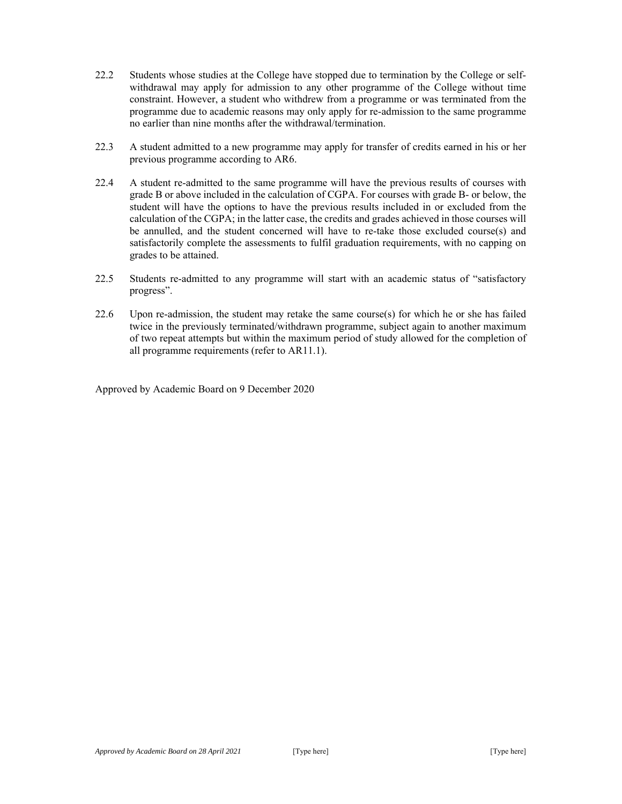- 22.2 Students whose studies at the College have stopped due to termination by the College or selfwithdrawal may apply for admission to any other programme of the College without time constraint. However, a student who withdrew from a programme or was terminated from the programme due to academic reasons may only apply for re-admission to the same programme no earlier than nine months after the withdrawal/termination.
- 22.3 A student admitted to a new programme may apply for transfer of credits earned in his or her previous programme according to AR6.
- 22.4 A student re-admitted to the same programme will have the previous results of courses with grade B or above included in the calculation of CGPA. For courses with grade B- or below, the student will have the options to have the previous results included in or excluded from the calculation of the CGPA; in the latter case, the credits and grades achieved in those courses will be annulled, and the student concerned will have to re-take those excluded course(s) and satisfactorily complete the assessments to fulfil graduation requirements, with no capping on grades to be attained.
- 22.5 Students re-admitted to any programme will start with an academic status of "satisfactory progress".
- 22.6 Upon re-admission, the student may retake the same course(s) for which he or she has failed twice in the previously terminated/withdrawn programme, subject again to another maximum of two repeat attempts but within the maximum period of study allowed for the completion of all programme requirements (refer to AR11.1).

Approved by Academic Board on 9 December 2020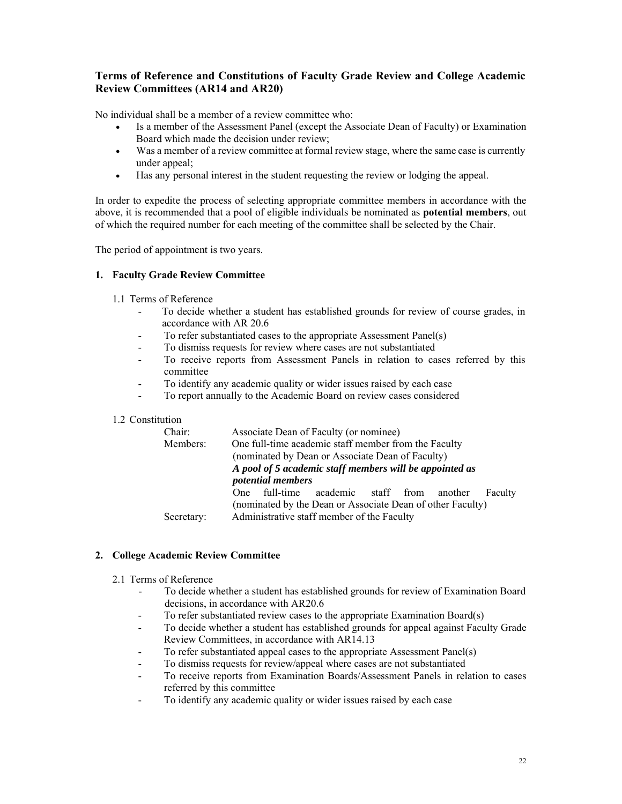## **Terms of Reference and Constitutions of Faculty Grade Review and College Academic Review Committees (AR14 and AR20)**

No individual shall be a member of a review committee who:

- Is a member of the Assessment Panel (except the Associate Dean of Faculty) or Examination Board which made the decision under review;
- Was a member of a review committee at formal review stage, where the same case is currently under appeal;
- Has any personal interest in the student requesting the review or lodging the appeal.

In order to expedite the process of selecting appropriate committee members in accordance with the above, it is recommended that a pool of eligible individuals be nominated as **potential members**, out of which the required number for each meeting of the committee shall be selected by the Chair.

The period of appointment is two years.

### **1. Faculty Grade Review Committee**

- 1.1 Terms of Reference
	- To decide whether a student has established grounds for review of course grades, in accordance with AR 20.6
	- To refer substantiated cases to the appropriate Assessment Panel(s)
	- To dismiss requests for review where cases are not substantiated
	- To receive reports from Assessment Panels in relation to cases referred by this committee
	- To identify any academic quality or wider issues raised by each case
	- To report annually to the Academic Board on review cases considered

### 1.2 Constitution

| Chair:<br>Associate Dean of Faculty (or nominee)                 |         |         |
|------------------------------------------------------------------|---------|---------|
| One full-time academic staff member from the Faculty<br>Members: |         |         |
| (nominated by Dean or Associate Dean of Faculty)                 |         |         |
| A pool of 5 academic staff members will be appointed as          |         |         |
| <i>potential members</i>                                         |         |         |
| One full-time<br>academic staff from                             | another | Faculty |
| (nominated by the Dean or Associate Dean of other Faculty)       |         |         |
| Administrative staff member of the Faculty<br>Secretary:         |         |         |

### **2. College Academic Review Committee**

- 2.1 Terms of Reference
	- To decide whether a student has established grounds for review of Examination Board decisions, in accordance with AR20.6
	- To refer substantiated review cases to the appropriate Examination Board(s)
	- To decide whether a student has established grounds for appeal against Faculty Grade Review Committees, in accordance with AR14.13
	- To refer substantiated appeal cases to the appropriate Assessment Panel(s)
	- To dismiss requests for review/appeal where cases are not substantiated
	- To receive reports from Examination Boards/Assessment Panels in relation to cases referred by this committee
	- To identify any academic quality or wider issues raised by each case